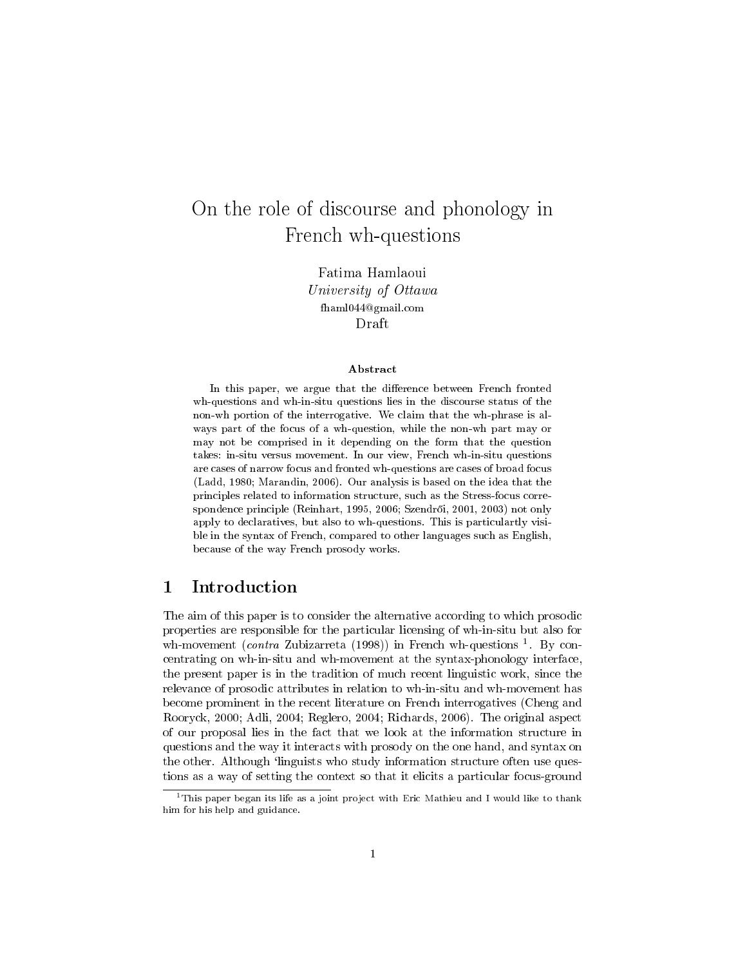# On the role of discourse and phonology in French wh-questions

Fatima Hamlaoui University of Ottawa fhaml044@gmail.com Draft

#### Abstract

In this paper, we argue that the difference between French fronted wh-questions and wh-in-situ questions lies in the discourse status of the non-wh portion of the interrogative. We claim that the wh-phrase is always part of the focus of a wh-question, while the non-wh part may or may not be comprised in it depending on the form that the question takes: in-situ versus movement. In our view, French wh-in-situ questions are cases of narrow focus and fronted wh-questions are cases of broad focus (Ladd, 1980; Marandin, 2006). Our analysis is based on the idea that the principles related to information structure, such as the Stress-focus correspondence principle (Reinhart, 1995, 2006; Szendrői, 2001, 2003) not only apply to declaratives, but also to wh-questions. This is particulartly visible in the syntax of French, compared to other languages such as English, because of the way French prosody works.

# 1 Introduction

The aim of this paper is to consider the alternative according to which prosodic properties are responsible for the particular licensing of wh-in-situ but also for wh-movement (*contra* Zubizarreta (1998)) in French wh-questions  $^1$ . By concentrating on wh-in-situ and wh-movement at the syntax-phonology interface, the present paper is in the tradition of much recent linguistic work, since the relevance of prosodic attributes in relation to wh-in-situ and wh-movement has become prominent in the recent literature on French interrogatives (Cheng and Rooryck, 2000; Adli, 2004; Reglero, 2004; Richards, 2006). The original aspect of our proposal lies in the fact that we look at the information structure in questions and the way it interacts with prosody on the one hand, and syntax on the other. Although 'linguists who study information structure often use questions as a way of setting the context so that it elicits a particular focus-ground

 $1$ This paper began its life as a joint project with Eric Mathieu and I would like to thank him for his help and guidance.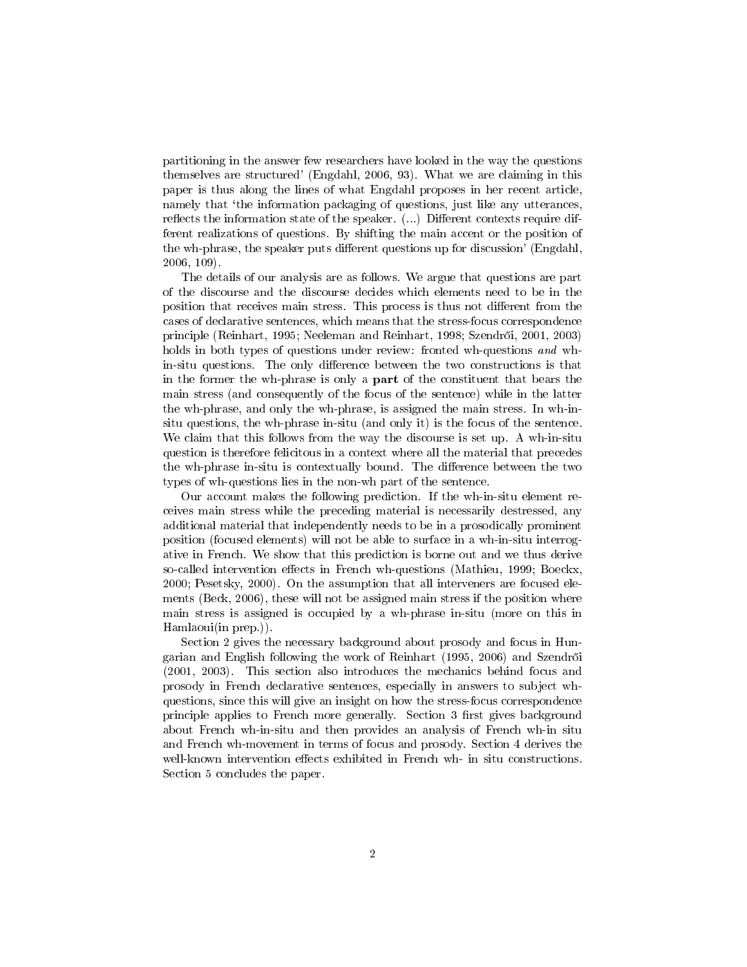partitioning in the answer few researchers have looked in the way the questions themselves are structured' (Engdahl, 2006, 93). What we are claiming in this paper is thus along the lines of what Engdahl proposes in her recent article, namely that 'the information packaging of questions, just like any utterances, reflects the information state of the speaker.  $(\dots)$  Different contexts require different realizations of questions. By shifting the main accent or the position of the wh-phrase, the speaker puts different questions up for discussion' (Engdahl, 2006, 109).

The details of our analysis are as follows. We argue that questions are part of the discourse and the discourse decides which elements need to be in the position that receives main stress. This process is thus not different from the cases of declarative sentences, which means that the stress-focus correspondence principle (Reinhart, 1995; Neeleman and Reinhart, 1998; Szendr®i, 2001, 2003) holds in both types of questions under review: fronted wh-questions and whin-situ questions. The only difference between the two constructions is that in the former the wh-phrase is only a part of the constituent that bears the main stress (and consequently of the focus of the sentence) while in the latter the wh-phrase, and only the wh-phrase, is assigned the main stress. In wh-insitu questions, the wh-phrase in-situ (and only it) is the focus of the sentence. We claim that this follows from the way the discourse is set up. A wh-in-situ question is therefore felicitous in a context where all the material that precedes the wh-phrase in-situ is contextually bound. The difference between the two types of wh-questions lies in the non-wh part of the sentence.

Our account makes the following prediction. If the wh-in-situ element receives main stress while the preceding material is necessarily destressed, any additional material that independently needs to be in a prosodically prominent position (focused elements) will not be able to surface in a wh-in-situ interrogative in French. We show that this prediction is borne out and we thus derive so-called intervention effects in French wh-questions (Mathieu, 1999; Boeckx, 2000; Pesetsky, 2000). On the assumption that all interveners are focused elements (Beck, 2006), these will not be assigned main stress if the position where main stress is assigned is occupied by a wh-phrase in-situ (more on this in Hamlaoui(in prep.)).

Section 2 gives the necessary background about prosody and focus in Hungarian and English following the work of Reinhart (1995, 2006) and Szendr®i (2001, 2003). This section also introduces the mechanics behind focus and prosody in French declarative sentences, especially in answers to subject whquestions, since this will give an insight on how the stress-focus correspondence principle applies to French more generally. Section 3 first gives background about French wh-in-situ and then provides an analysis of French wh-in situ and French wh-movement in terms of focus and prosody. Section 4 derives the well-known intervention effects exhibited in French wh- in situ constructions. Section 5 concludes the paper.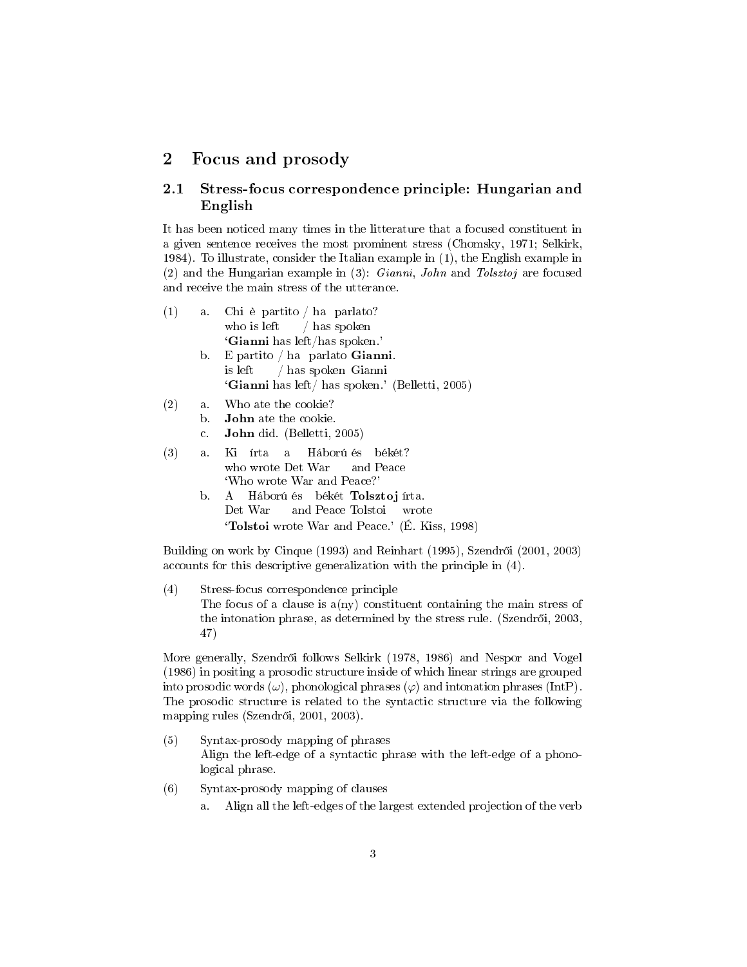## 2 Focus and prosody

## 2.1 Stress-focus correspondence principle: Hungarian and English

It has been noticed many times in the litterature that a focused constituent in a given sentence receives the most prominent stress (Chomsky, 1971; Selkirk, 1984). To illustrate, consider the Italian example in (1), the English example in (2) and the Hungarian example in  $(3)$ : *Gianni*, *John* and *Tolsztoj* are focused and receive the main stress of the utterance.

- (1) a. Chi è partito / ha parlato? who is left / has spoken `Gianni has left/has spoken.' b. E partito / ha parlato Gianni. is left / has spoken Gianni `Gianni has left/ has spoken.' (Belletti, 2005)
- (2) a. Who ate the cookie? b. John ate the cookie.
	- c. John did. (Belletti, 2005)
- $(3)$  a. who wrote Det War írta a Háború és békét? and Peace `Who wrote War and Peace?' b. A Háború és békét Tolsztoj írta.
	- Det War and Peace Tolstoi wrote `Tolstoi wrote War and Peace.' (É. Kiss, 1998)

Building on work by Cinque (1993) and Reinhart (1995), Szendrői (2001, 2003) accounts for this descriptive generalization with the principle in (4).

(4) Stress-focus correspondence principle The focus of a clause is  $a(ny)$  constituent containing the main stress of the intonation phrase, as determined by the stress rule. (Szendrői, 2003, 47)

More generally, Szendrői follows Selkirk (1978, 1986) and Nespor and Vogel (1986) in positing a prosodic structure inside of which linear strings are grouped into prosodic words  $(\omega)$ , phonological phrases  $(\varphi)$  and intonation phrases (IntP). The prosodic structure is related to the syntactic structure via the following mapping rules (Szendrői, 2001, 2003).

- (5) Syntax-prosody mapping of phrases Align the left-edge of a syntactic phrase with the left-edge of a phonological phrase.
- (6) Syntax-prosody mapping of clauses
	- a. Align all the left-edges of the largest extended projection of the verb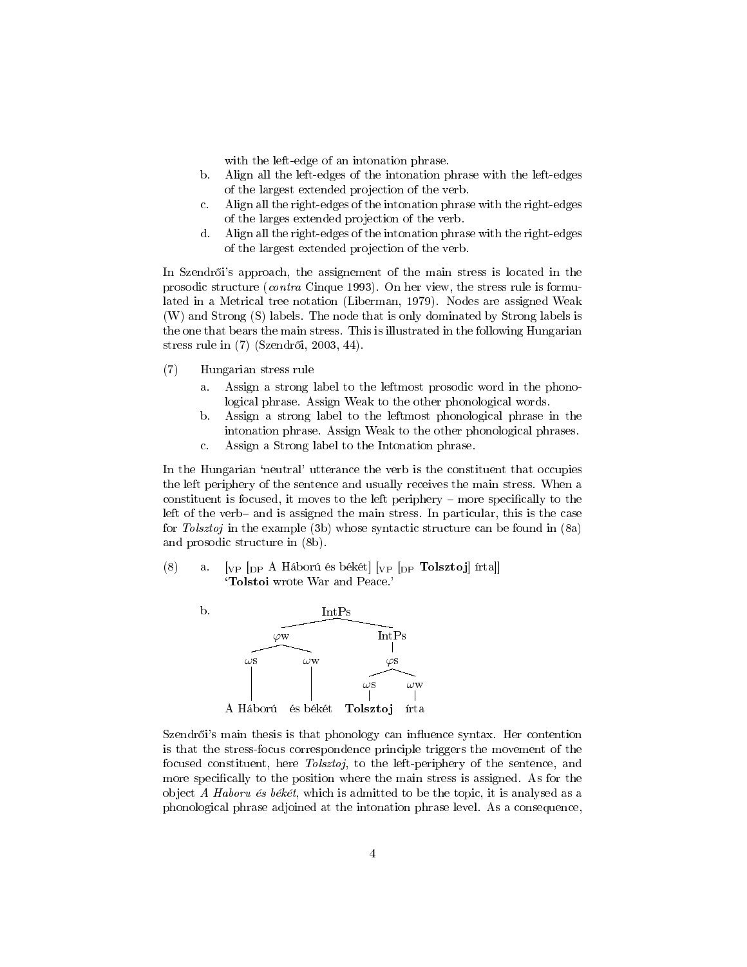with the left-edge of an intonation phrase.

- b. Align all the left-edges of the intonation phrase with the left-edges of the largest extended projection of the verb.
- c. Align all the right-edges of the intonation phrase with the right-edges of the larges extended projection of the verb.
- d. Align all the right-edges of the intonation phrase with the right-edges of the largest extended projection of the verb.

In Szendrői's approach, the assignement of the main stress is located in the prosodic structure (contra Cinque 1993). On her view, the stress rule is formulated in a Metrical tree notation (Liberman, 1979). Nodes are assigned Weak (W) and Strong (S) labels. The node that is only dominated by Strong labels is the one that bears the main stress. This is illustrated in the following Hungarian stress rule in (7) (Szendrői, 2003, 44).

- (7) Hungarian stress rule
	- a. Assign a strong label to the leftmost prosodic word in the phonological phrase. Assign Weak to the other phonological words.
	- b. Assign a strong label to the leftmost phonological phrase in the intonation phrase. Assign Weak to the other phonological phrases.
	- c. Assign a Strong label to the Intonation phrase.

In the Hungarian 'neutral' utterance the verb is the constituent that occupies the left periphery of the sentence and usually receives the main stress. When a constituent is focused, it moves to the left periphery  $-$  more specifically to the left of the verb- and is assigned the main stress. In particular, this is the case for Tolsztoj in the example (3b) whose syntactic structure can be found in (8a) and prosodic structure in (8b).

(8) a.  $[vP]_{DP}$  A Háború és békét $[vP]_{DP}$  Tolsztoj] írta]] `Tolstoi wrote War and Peace.'



Szendrői's main thesis is that phonology can influence syntax. Her contention is that the stress-focus correspondence principle triggers the movement of the focused constituent, here Tolsztoj, to the left-periphery of the sentence, and more specifically to the position where the main stress is assigned. As for the object A Haboru és békét, which is admitted to be the topic, it is analysed as a phonological phrase adjoined at the intonation phrase level. As a consequence,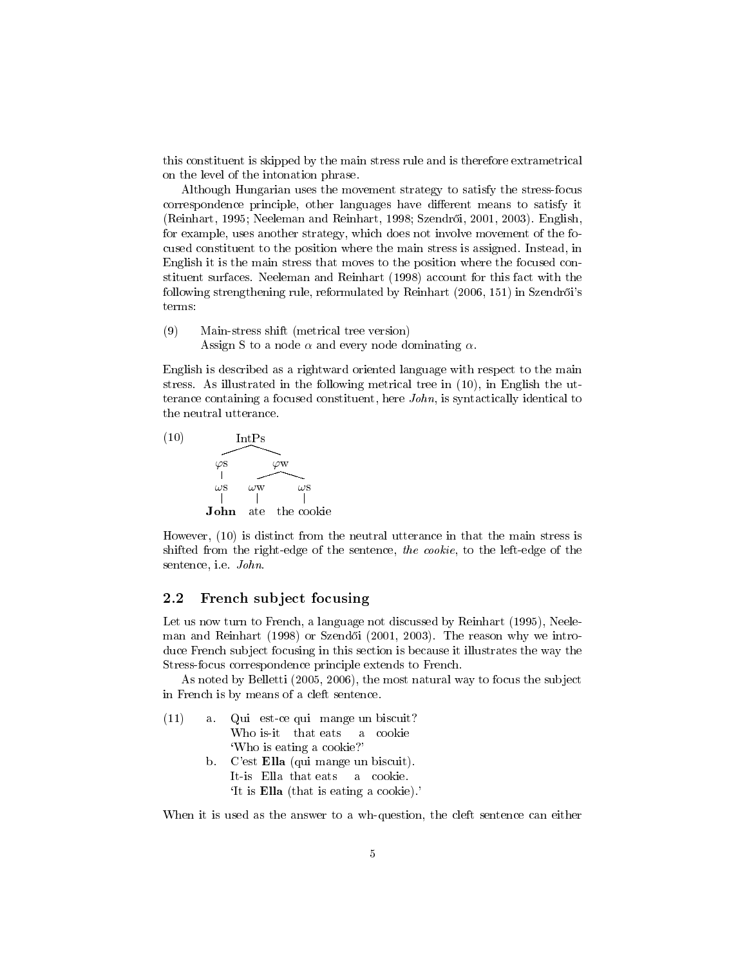this constituent is skipped by the main stress rule and is therefore extrametrical on the level of the intonation phrase.

Although Hungarian uses the movement strategy to satisfy the stress-focus correspondence principle, other languages have different means to satisfy it (Reinhart, 1995; Neeleman and Reinhart, 1998; Szendr®i, 2001, 2003). English, for example, uses another strategy, which does not involve movement of the focused constituent to the position where the main stress is assigned. Instead, in English it is the main stress that moves to the position where the focused constituent surfaces. Neeleman and Reinhart (1998) account for this fact with the following strengthening rule, reformulated by Reinhart  $(2006, 151)$  in Szendrői's terms:

(9) Main-stress shift (metrical tree version) Assign S to a node  $\alpha$  and every node dominating  $\alpha$ .

English is described as a rightward oriented language with respect to the main stress. As illustrated in the following metrical tree in (10), in English the utterance containing a focused constituent, here John, is syntactically identical to the neutral utterance.



However, (10) is distinct from the neutral utterance in that the main stress is shifted from the right-edge of the sentence, the cookie, to the left-edge of the sentence, i.e. John.

## 2.2 French subject focusing

Let us now turn to French, a language not discussed by Reinhart (1995), Neeleman and Reinhart (1998) or Szendői (2001, 2003). The reason why we introduce French subject focusing in this section is because it illustrates the way the Stress-focus correspondence principle extends to French.

As noted by Belletti (2005, 2006), the most natural way to focus the subject in French is by means of a cleft sentence.

| (11) | a. Qui est-ce qui mange un biscuit?            |
|------|------------------------------------------------|
|      | Who is-it that eats a cookie                   |
|      | 'Who is eating a cookie?'                      |
|      | b. C'est Ella (qui mange un biscuit).          |
|      | It-is Ella that eats a cookie.                 |
|      | 'It is <b>Ella</b> (that is eating a cookie).' |

When it is used as the answer to a wh-question, the cleft sentence can either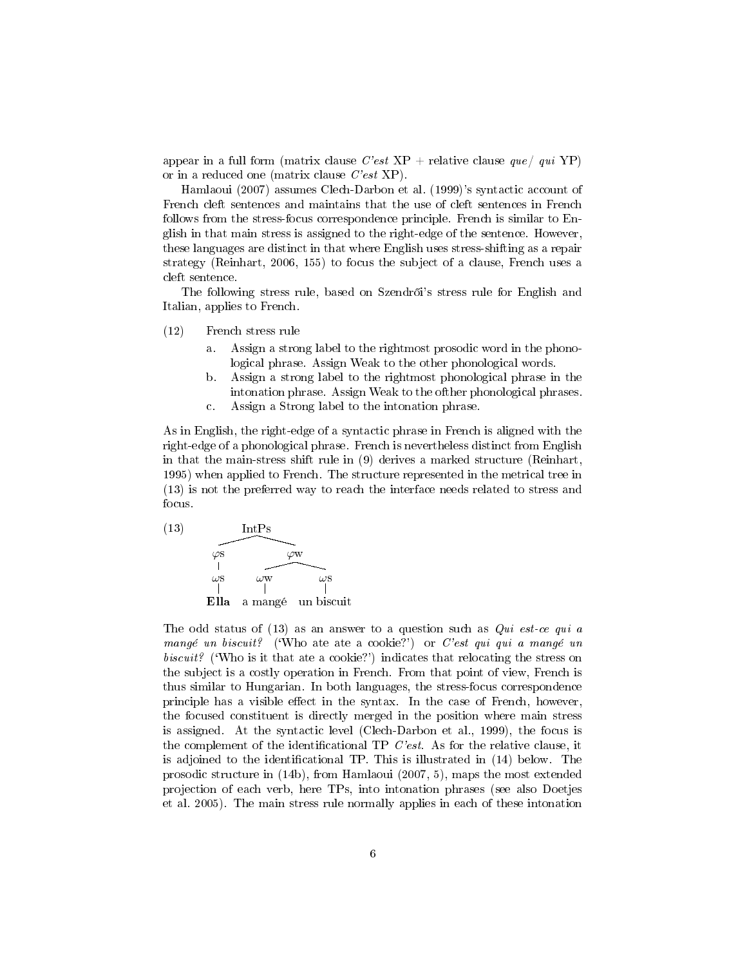appear in a full form (matrix clause  $C'est$  XP + relative clause  $que/ qui$  YP) or in a reduced one (matrix clause C'est XP).

Hamlaoui (2007) assumes Clech-Darbon et al. (1999)'s syntactic account of French cleft sentences and maintains that the use of cleft sentences in French follows from the stress-focus correspondence principle. French is similar to English in that main stress is assigned to the right-edge of the sentence. However, these languages are distinct in that where English uses stress-shifting as a repair strategy (Reinhart, 2006, 155) to focus the subject of a clause, French uses a cleft sentence.

The following stress rule, based on Szendrői's stress rule for English and Italian, applies to French.

- (12) French stress rule
	- a. Assign a strong label to the rightmost prosodic word in the phonological phrase. Assign Weak to the other phonological words.
	- b. Assign a strong label to the rightmost phonological phrase in the intonation phrase. Assign Weak to the ofther phonological phrases.
	- c. Assign a Strong label to the intonation phrase.

As in English, the right-edge of a syntactic phrase in French is aligned with the right-edge of a phonological phrase. French is nevertheless distinct from English in that the main-stress shift rule in (9) derives a marked structure (Reinhart, 1995) when applied to French. The structure represented in the metrical tree in (13) is not the preferred way to reach the interface needs related to stress and focus.



The odd status of  $(13)$  as an answer to a question such as *Qui est-ce qui a* mangé un biscuit? ('Who ate ate a cookie?') or C'est qui qui a mangé un biscuit? ('Who is it that ate a cookie?') indicates that relocating the stress on the subject is a costly operation in French. From that point of view, French is thus similar to Hungarian. In both languages, the stress-focus correspondence principle has a visible effect in the syntax. In the case of French, however, the focused constituent is directly merged in the position where main stress is assigned. At the syntactic level (Clech-Darbon et al., 1999), the focus is the complement of the identificational TP  $C'est$ . As for the relative clause, it is adjoined to the identificational TP. This is illustrated in  $(14)$  below. The prosodic structure in (14b), from Hamlaoui (2007, 5), maps the most extended projection of each verb, here TPs, into intonation phrases (see also Doetjes et al. 2005). The main stress rule normally applies in each of these intonation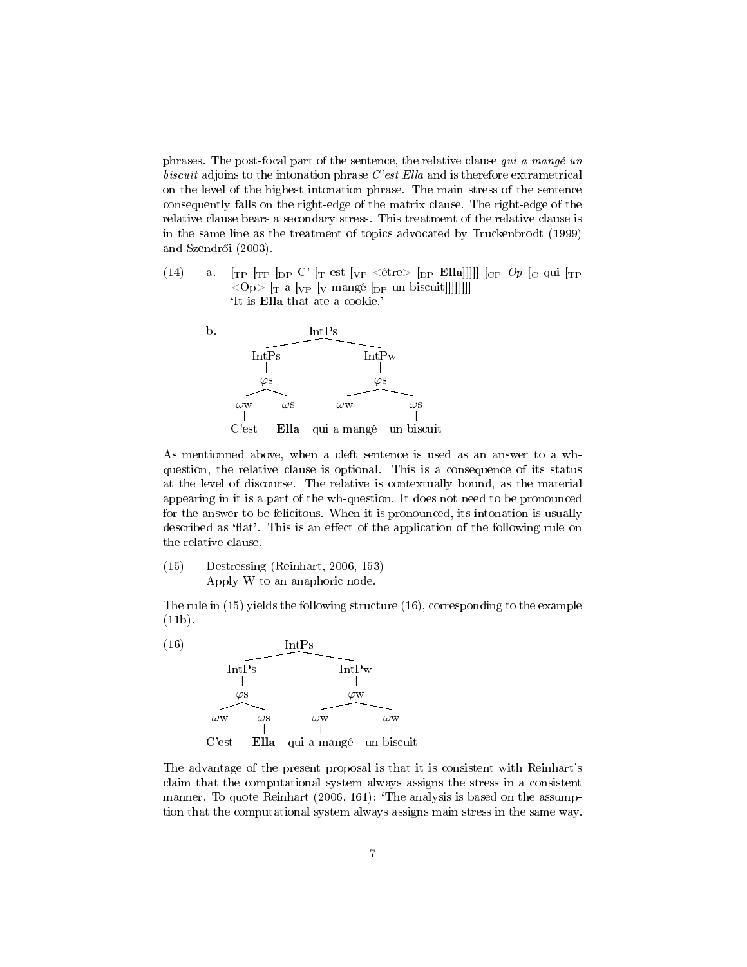phrases. The post-focal part of the sentence, the relative clause qui a mangé un biscuit adjoins to the intonation phrase C'est Ella and is therefore extrametrical on the level of the highest intonation phrase. The main stress of the sentence consequently falls on the right-edge of the matrix clause. The right-edge of the relative clause bears a secondary stress. This treatment of the relative clause is in the same line as the treatment of topics advocated by Truckenbrodt (1999) and Szendr®i (2003).

(14) a.  $\lbrack$ <sub>TP</sub>  $\lbrack$ <sub>TP</sub>  $\lbrack$ <sub>DP</sub> C'  $\lbrack$ <sub>T</sub> est  $\lbrack$ <sub>VP</sub> < être>  $\lbrack$ <sub>DP</sub> **Ella**]]]]  $\lbrack$  $\lbrack$  $\lbrack$  $\lbrack$  $\lbrack$  $\lbrack$  $\lbrack$  $\lbrack$  $\lbrack$  $\lbrack$  $\lbrack$  $\lbrack$  $\lbrack$  $\lbrack$  $\lbrack$  $\lbrack$  $\lbrack$  $\lbrack$  $\lbrack$  $\lbrack$  $\$  $<$ Op> [T a [<sub>VP</sub> [<sub>V</sub> mangé [<sub>DP</sub> un biscuit]]]]]]]] `It is Ella that ate a cookie.'



As mentionned above, when a cleft sentence is used as an answer to a whquestion, the relative clause is optional. This is a consequence of its status at the level of discourse. The relative is contextually bound, as the material appearing in it is a part of the wh-question. It does not need to be pronounced for the answer to be felicitous. When it is pronounced, its intonation is usually described as 'flat'. This is an effect of the application of the following rule on the relative clause.

(15) Destressing (Reinhart, 2006, 153) Apply W to an anaphoric node.

The rule in (15) yields the following structure (16), corresponding to the example (11b).



The advantage of the present proposal is that it is consistent with Reinhart's claim that the computational system always assigns the stress in a consistent manner. To quote Reinhart (2006, 161): 'The analysis is based on the assumption that the computational system always assigns main stress in the same way.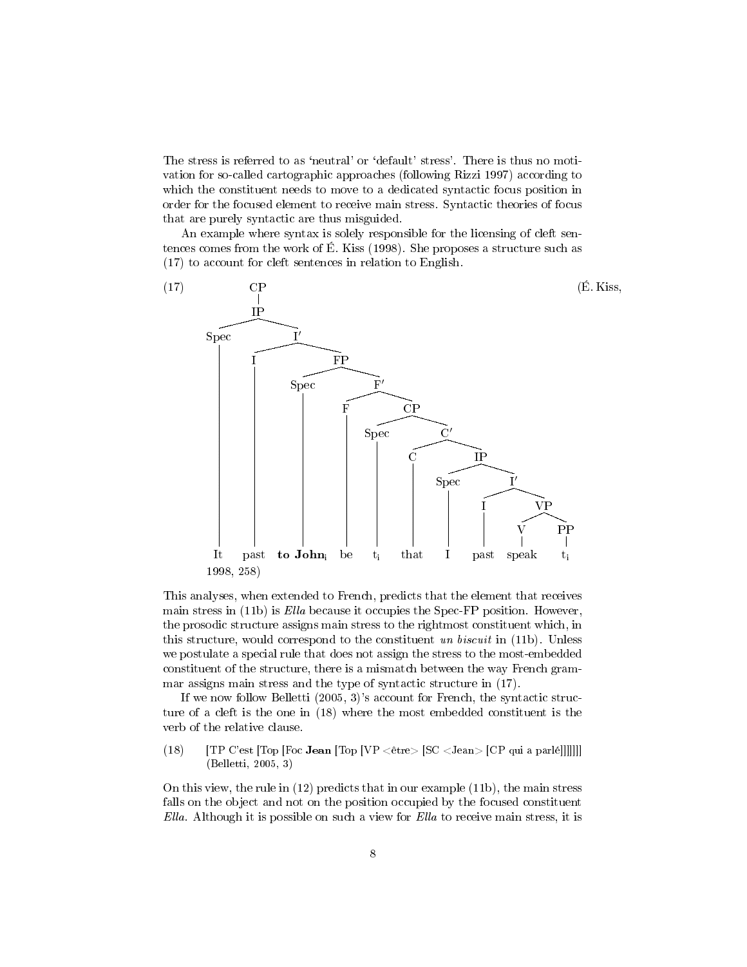The stress is referred to as 'neutral' or 'default' stress'. There is thus no motivation for so-called cartographic approaches (following Rizzi 1997) according to which the constituent needs to move to a dedicated syntactic focus position in order for the focused element to receive main stress. Syntactic theories of focus that are purely syntactic are thus misguided.

An example where syntax is solely responsible for the licensing of cleft sentences comes from the work of É. Kiss (1998). She proposes a structure such as (17) to account for cleft sentences in relation to English.



This analyses, when extended to French, predicts that the element that receives main stress in (11b) is Ella because it occupies the Spec-FP position. However, the prosodic structure assigns main stress to the rightmost constituent which, in this structure, would correspond to the constituent un biscuit in  $(11b)$ . Unless we postulate a special rule that does not assign the stress to the most-embedded constituent of the structure, there is a mismatch between the way French grammar assigns main stress and the type of syntactic structure in (17).

If we now follow Belletti (2005, 3)'s account for French, the syntactic structure of a cleft is the one in (18) where the most embedded constituent is the verb of the relative clause.

(18) [TP C'est [Top [Foc Jean [Top [VP  $\langle$  être $\rangle$  [SC  $\langle$  Jean $\rangle$  [CP qui a parlé]]]]]]] (Belletti, 2005, 3)

On this view, the rule in (12) predicts that in our example (11b), the main stress falls on the object and not on the position occupied by the focused constituent Ella. Although it is possible on such a view for Ella to receive main stress, it is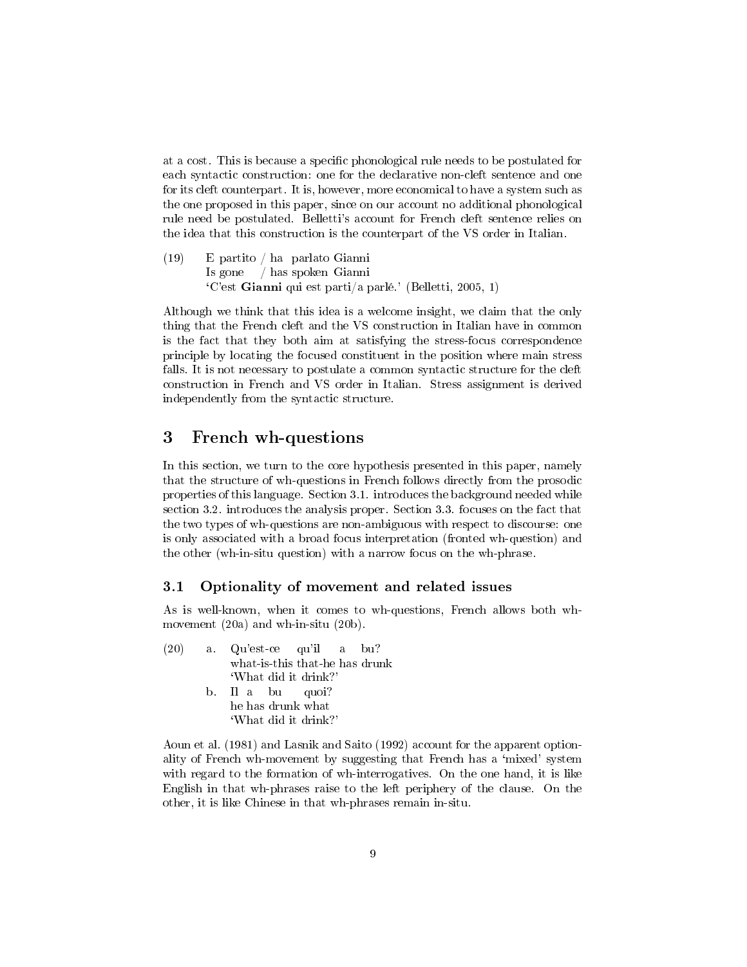at a cost. This is because a specific phonological rule needs to be postulated for each syntactic construction: one for the declarative non-cleft sentence and one for its cleft counterpart. It is, however, more economical to have a system such as the one proposed in this paper, since on our account no additional phonological rule need be postulated. Belletti's account for French cleft sentence relies on the idea that this construction is the counterpart of the VS order in Italian.

 $(19)$ Is gone / has spoken Gianni partito / ha parlato Gianni `C'est Gianni qui est parti/a parlé.' (Belletti, 2005, 1)

Although we think that this idea is a welcome insight, we claim that the only thing that the French cleft and the VS construction in Italian have in common is the fact that they both aim at satisfying the stress-focus correspondence principle by locating the focused constituent in the position where main stress falls. It is not necessary to postulate a common syntactic structure for the cleft construction in French and VS order in Italian. Stress assignment is derived independently from the syntactic structure.

## 3 French wh-questions

In this section, we turn to the core hypothesis presented in this paper, namely that the structure of wh-questions in French follows directly from the prosodic properties of this language. Section 3.1. introduces the background needed while section 3.2. introduces the analysis proper. Section 3.3. focuses on the fact that the two types of wh-questions are non-ambiguous with respect to discourse: one is only associated with a broad focus interpretation (fronted wh-question) and the other (wh-in-situ question) with a narrow focus on the wh-phrase.

#### 3.1 Optionality of movement and related issues

As is well-known, when it comes to wh-questions, French allows both whmovement (20a) and wh-in-situ (20b).

|  | $(20)$ a Qu'est-ce qu'il a bu? |
|--|--------------------------------|
|  | what-is-this that-he has drunk |
|  | 'What did it drink?'           |
|  | b. Ila bu quoi?                |
|  | he has drunk what.             |
|  | 'What did it drink?'           |

Aoun et al. (1981) and Lasnik and Saito (1992) account for the apparent optionality of French wh-movement by suggesting that French has a 'mixed' system with regard to the formation of wh-interrogatives. On the one hand, it is like English in that wh-phrases raise to the left periphery of the clause. On the other, it is like Chinese in that wh-phrases remain in-situ.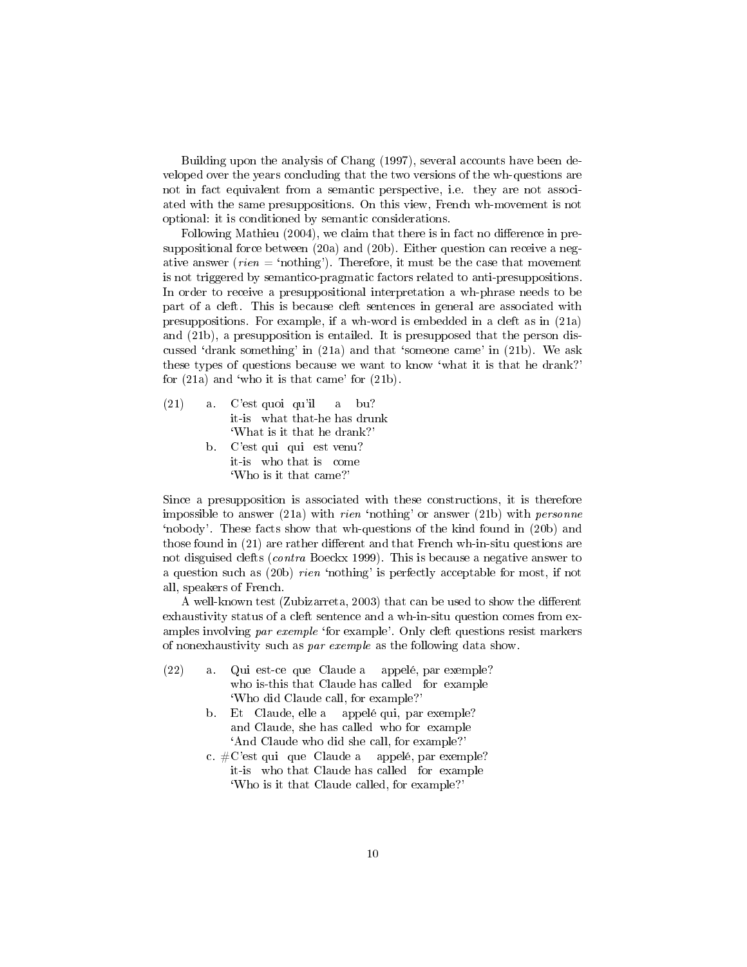Building upon the analysis of Chang (1997), several accounts have been developed over the years concluding that the two versions of the wh-questions are not in fact equivalent from a semantic perspective, i.e. they are not associated with the same presuppositions. On this view, French wh-movement is not optional: it is conditioned by semantic considerations.

Following Mathieu (2004), we claim that there is in fact no difference in presuppositional force between (20a) and (20b). Either question can receive a negative answer (*rien* = 'nothing'). Therefore, it must be the case that movement is not triggered by semantico-pragmatic factors related to anti-presuppositions. In order to receive a presuppositional interpretation a wh-phrase needs to be part of a cleft. This is because cleft sentences in general are associated with presuppositions. For example, if a wh-word is embedded in a cleft as in (21a) and (21b), a presupposition is entailed. It is presupposed that the person discussed 'drank something' in  $(21a)$  and that 'someone came' in  $(21b)$ . We ask these types of questions because we want to know `what it is that he drank?' for  $(21a)$  and 'who it is that came' for  $(21b)$ .

- (21) a. C'est quoi qu'il it-is what that-he has drunk a bu? `What is it that he drank?'
	- b. C'est qui qui est venu? it-is who that is come `Who is it that came?'

Since a presupposition is associated with these constructions, it is therefore impossible to answer  $(21a)$  with *rien* 'nothing' or answer  $(21b)$  with *personne* `nobody'. These facts show that wh-questions of the kind found in (20b) and those found in  $(21)$  are rather different and that French wh-in-situ questions are not disguised clefts (contra Boeckx 1999). This is because a negative answer to a question such as (20b) rien `nothing' is perfectly acceptable for most, if not all, speakers of French.

A well-known test (Zubizarreta, 2003) that can be used to show the different exhaustivity status of a cleft sentence and a wh-in-situ question comes from examples involving par exemple 'for example'. Only cleft questions resist markers of nonexhaustivity such as par exemple as the following data show.

- $(22)$  a. who is-this that Claude has called for example est-ce que Claude a appelé, par exemple? `Who did Claude call, for example?'
	- b. Et Claude, elle a appelé qui, par exemple? and Claude, she has called who for example `And Claude who did she call, for example?'
	- c. #C'est qui que Claude a appelé, par exemple? it-is who that Claude has called for example `Who is it that Claude called, for example?'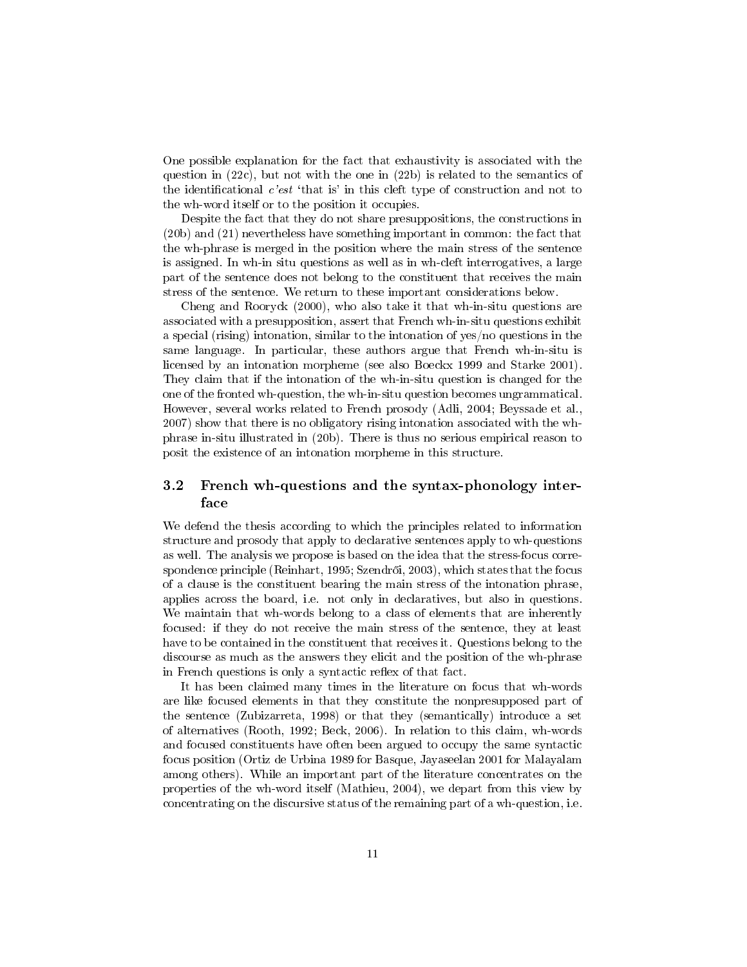One possible explanation for the fact that exhaustivity is associated with the question in (22c), but not with the one in (22b) is related to the semantics of the identificational *c'est* 'that is' in this cleft type of construction and not to the wh-word itself or to the position it occupies.

Despite the fact that they do not share presuppositions, the constructions in (20b) and (21) nevertheless have something important in common: the fact that the wh-phrase is merged in the position where the main stress of the sentence is assigned. In wh-in situ questions as well as in wh-cleft interrogatives, a large part of the sentence does not belong to the constituent that receives the main stress of the sentence. We return to these important considerations below.

Cheng and Rooryck (2000), who also take it that wh-in-situ questions are associated with a presupposition, assert that French wh-in-situ questions exhibit a special (rising) intonation, similar to the intonation of yes/no questions in the same language. In particular, these authors argue that French wh-in-situ is licensed by an intonation morpheme (see also Boeckx 1999 and Starke 2001). They claim that if the intonation of the wh-in-situ question is changed for the one of the fronted wh-question, the wh-in-situ question becomes ungrammatical. However, several works related to French prosody (Adli, 2004; Beyssade et al., 2007) show that there is no obligatory rising intonation associated with the whphrase in-situ illustrated in (20b). There is thus no serious empirical reason to posit the existence of an intonation morpheme in this structure.

## 3.2 French wh-questions and the syntax-phonology interface

We defend the thesis according to which the principles related to information structure and prosody that apply to declarative sentences apply to wh-questions as well. The analysis we propose is based on the idea that the stress-focus correspondence principle (Reinhart, 1995; Szendrői, 2003), which states that the focus of a clause is the constituent bearing the main stress of the intonation phrase, applies across the board, i.e. not only in declaratives, but also in questions. We maintain that wh-words belong to a class of elements that are inherently focused: if they do not receive the main stress of the sentence, they at least have to be contained in the constituent that receives it. Questions belong to the discourse as much as the answers they elicit and the position of the wh-phrase in French questions is only a syntactic reflex of that fact.

It has been claimed many times in the literature on focus that wh-words are like focused elements in that they constitute the nonpresupposed part of the sentence (Zubizarreta, 1998) or that they (semantically) introduce a set of alternatives (Rooth, 1992; Beck, 2006). In relation to this claim, wh-words and focused constituents have often been argued to occupy the same syntactic focus position (Ortiz de Urbina 1989 for Basque, Jayaseelan 2001 for Malayalam among others). While an important part of the literature concentrates on the properties of the wh-word itself (Mathieu, 2004), we depart from this view by concentrating on the discursive status of the remaining part of a wh-question, i.e.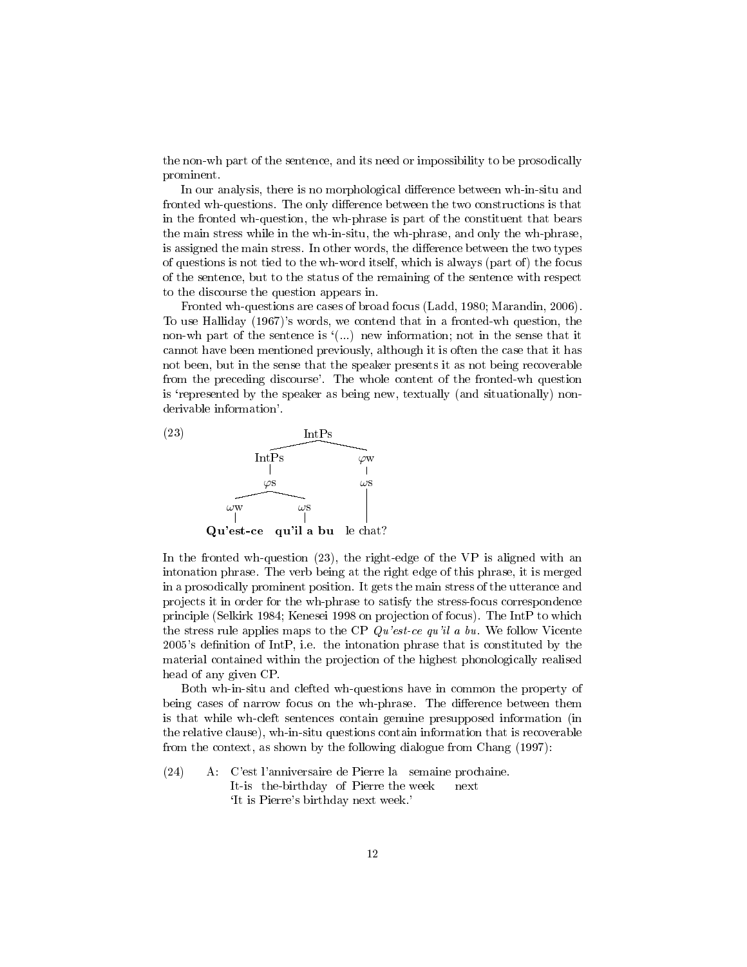the non-wh part of the sentence, and its need or impossibility to be prosodically prominent.

In our analysis, there is no morphological difference between wh-in-situ and fronted wh-questions. The only difference between the two constructions is that in the fronted wh-question, the wh-phrase is part of the constituent that bears the main stress while in the wh-in-situ, the wh-phrase, and only the wh-phrase, is assigned the main stress. In other words, the difference between the two types of questions is not tied to the wh-word itself, which is always (part of) the focus of the sentence, but to the status of the remaining of the sentence with respect to the discourse the question appears in.

Fronted wh-questions are cases of broad focus (Ladd, 1980; Marandin, 2006). To use Halliday (1967)'s words, we contend that in a fronted-wh question, the non-wh part of the sentence is  $($ ...) new information; not in the sense that it cannot have been mentioned previously, although it is often the case that it has not been, but in the sense that the speaker presents it as not being recoverable from the preceding discourse'. The whole content of the fronted-wh question is 'represented by the speaker as being new, textually (and situationally) nonderivable information'.



In the fronted wh-question (23), the right-edge of the VP is aligned with an intonation phrase. The verb being at the right edge of this phrase, it is merged in a prosodically prominent position. It gets the main stress of the utterance and projects it in order for the wh-phrase to satisfy the stress-focus correspondence principle (Selkirk 1984; Kenesei 1998 on projection of focus). The IntP to which the stress rule applies maps to the CP  $Qu'est-ce qu'il a bu$ . We follow Vicente 2005's definition of IntP, i.e. the intonation phrase that is constituted by the material contained within the projection of the highest phonologically realised head of any given CP.

Both wh-in-situ and clefted wh-questions have in common the property of being cases of narrow focus on the wh-phrase. The difference between them is that while wh-cleft sentences contain genuine presupposed information (in the relative clause), wh-in-situ questions contain information that is recoverable from the context, as shown by the following dialogue from Chang (1997):

(24) A: C'est l'anniversaire de Pierre la semaine prochaine. It-is the-birthday of Pierre the week next `It is Pierre's birthday next week.'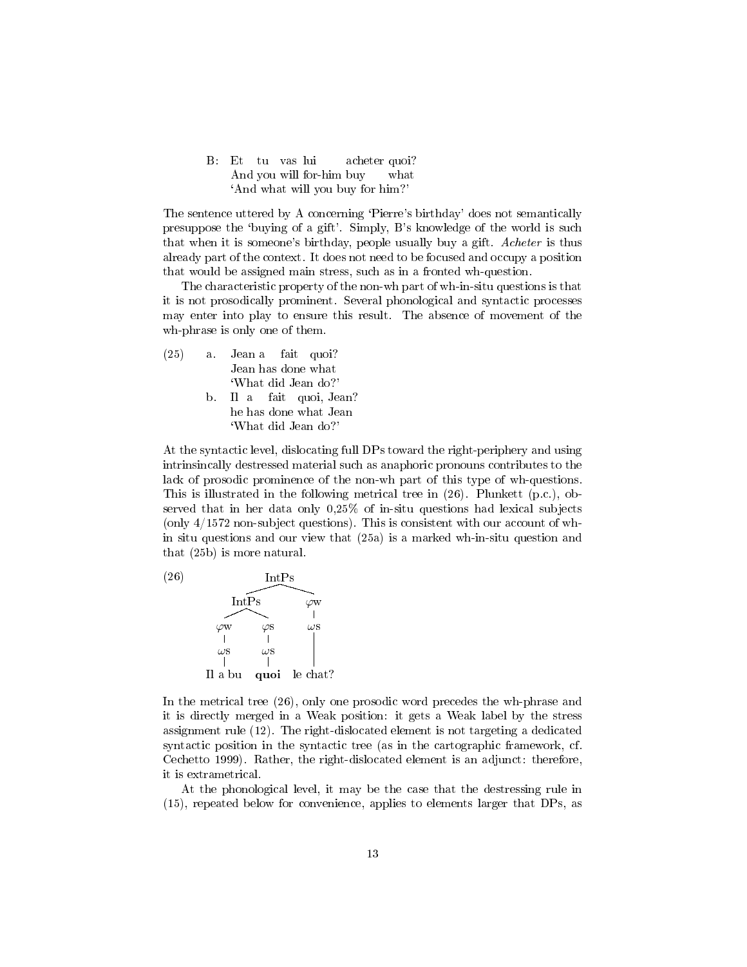B: Et And you will for-him buy tu vas lui acheter quoi? what `And what will you buy for him?'

The sentence uttered by A concerning 'Pierre's birthday' does not semantically presuppose the `buying of a gift'. Simply, B's knowledge of the world is such that when it is someone's birthday, people usually buy a gift. Acheter is thus already part of the context. It does not need to be focused and occupy a position that would be assigned main stress, such as in a fronted wh-question.

The characteristic property of the non-wh part of wh-in-situ questions is that it is not prosodically prominent. Several phonological and syntactic processes may enter into play to ensure this result. The absence of movement of the wh-phrase is only one of them.

| (25) | a Jeana fait quoi?       |
|------|--------------------------|
|      | Jean has done what       |
|      | 'What did Jean do?'      |
|      | b. Il a fait quoi, Jean? |
|      | he has done what Jean    |
|      | 'What did Jean do?'      |
|      |                          |

At the syntactic level, dislocating full DPs toward the right-periphery and using intrinsincally destressed material such as anaphoric pronouns contributes to the lack of prosodic prominence of the non-wh part of this type of wh-questions. This is illustrated in the following metrical tree in (26). Plunkett (p.c.), observed that in her data only 0,25% of in-situ questions had lexical subjects (only 4/1572 non-subject questions). This is consistent with our account of whin situ questions and our view that (25a) is a marked wh-in-situ question and that (25b) is more natural.



In the metrical tree (26), only one prosodic word precedes the wh-phrase and it is directly merged in a Weak position: it gets a Weak label by the stress assignment rule (12). The right-dislocated element is not targeting a dedicated syntactic position in the syntactic tree (as in the cartographic framework, cf. Cechetto 1999). Rather, the right-dislocated element is an adjunct: therefore, it is extrametrical.

At the phonological level, it may be the case that the destressing rule in (15), repeated below for convenience, applies to elements larger that DPs, as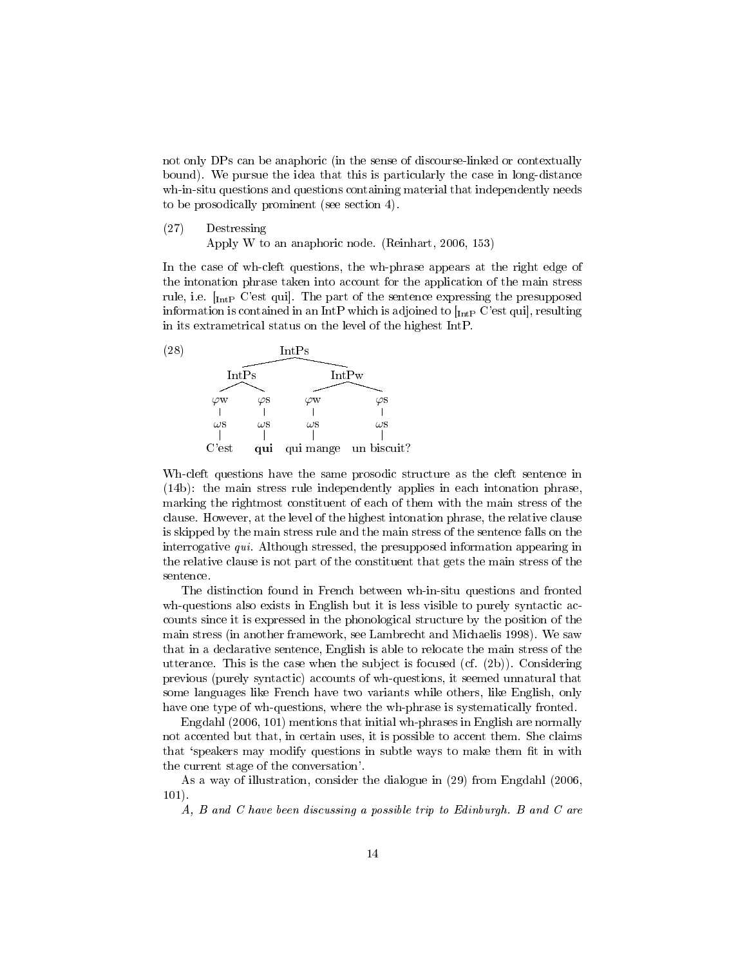not only DPs can be anaphoric (in the sense of discourse-linked or contextually bound). We pursue the idea that this is particularly the case in long-distance wh-in-situ questions and questions containing material that independently needs to be prosodically prominent (see section 4).

(27) Destressing

Apply W to an anaphoric node. (Reinhart, 2006, 153)

In the case of wh-cleft questions, the wh-phrase appears at the right edge of the intonation phrase taken into account for the application of the main stress rule, i.e.  $\left[\begin{smallmatrix} 1 \\ \text{Int } P \end{smallmatrix}\right]$  C'est quil. The part of the sentence expressing the presupposed information is contained in an IntP which is adjoined to  $\lbrack_{\text{IntP}}$  C'est quil, resulting in its extrametrical status on the level of the highest IntP.



Wh-cleft questions have the same prosodic structure as the cleft sentence in (14b): the main stress rule independently applies in each intonation phrase, marking the rightmost constituent of each of them with the main stress of the clause. However, at the level of the highest intonation phrase, the relative clause is skipped by the main stress rule and the main stress of the sentence falls on the interrogative qui. Although stressed, the presupposed information appearing in the relative clause is not part of the constituent that gets the main stress of the sentence.

The distinction found in French between wh-in-situ questions and fronted wh-questions also exists in English but it is less visible to purely syntactic accounts since it is expressed in the phonological structure by the position of the main stress (in another framework, see Lambrecht and Michaelis 1998). We saw that in a declarative sentence, English is able to relocate the main stress of the utterance. This is the case when the subject is focused (cf. (2b)). Considering previous (purely syntactic) accounts of wh-questions, it seemed unnatural that some languages like French have two variants while others, like English, only have one type of wh-questions, where the wh-phrase is systematically fronted.

Engdahl (2006, 101) mentions that initial wh-phrases in English are normally not accented but that, in certain uses, it is possible to accent them. She claims that 'speakers may modify questions in subtle ways to make them fit in with the current stage of the conversation'.

As a way of illustration, consider the dialogue in (29) from Engdahl (2006, 101).

A, B and C have been discussing a possible trip to Edinburgh. B and C are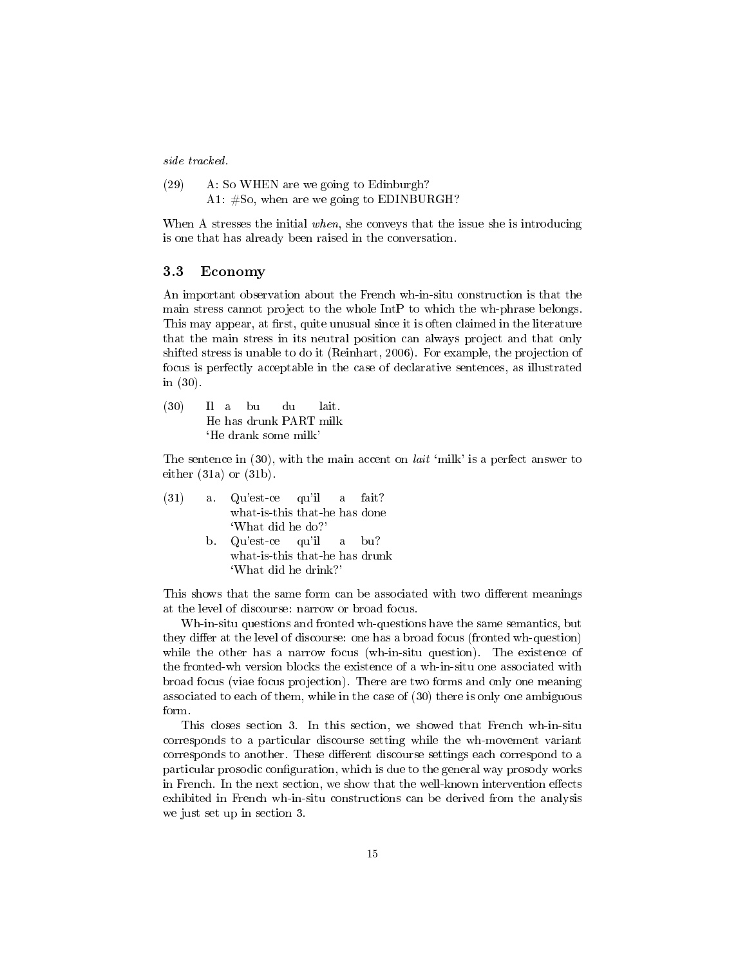side tracked.

| (29) | A: So WHEN are we going to Edinburgh?       |  |  |  |  |  |
|------|---------------------------------------------|--|--|--|--|--|
|      | A1: $#So$ , when are we going to EDINBURGH? |  |  |  |  |  |

When A stresses the initial when, she conveys that the issue she is introducing is one that has already been raised in the conversation.

#### 3.3 Economy

An important observation about the French wh-in-situ construction is that the main stress cannot project to the whole IntP to which the wh-phrase belongs. This may appear, at first, quite unusual since it is often claimed in the literature that the main stress in its neutral position can always project and that only shifted stress is unable to do it (Reinhart, 2006). For example, the projection of focus is perfectly acceptable in the case of declarative sentences, as illustrated in (30).

 $(30)$ He has drunk PART milk  $I1$  a bu du lait. `He drank some milk'

The sentence in  $(30)$ , with the main accent on *lait* 'milk' is a perfect answer to either (31a) or (31b).

|                      |  | $(31)$ a Qu'est-ce qu'il a fait? |  |  |  |  |
|----------------------|--|----------------------------------|--|--|--|--|
|                      |  | what-is-this that-he has done    |  |  |  |  |
|                      |  | 'What did he do?'                |  |  |  |  |
|                      |  | b. Qu'est-ce qu'il a bu?         |  |  |  |  |
|                      |  | what-is-this that-he has drunk   |  |  |  |  |
| 'What did he drink?' |  |                                  |  |  |  |  |

This shows that the same form can be associated with two different meanings at the level of discourse: narrow or broad focus.

Wh-in-situ questions and fronted wh-questions have the same semantics, but they differ at the level of discourse: one has a broad focus (fronted wh-question) while the other has a narrow focus (wh-in-situ question). The existence of the fronted-wh version blocks the existence of a wh-in-situ one associated with broad focus (viae focus projection). There are two forms and only one meaning associated to each of them, while in the case of (30) there is only one ambiguous form.

This closes section 3. In this section, we showed that French wh-in-situ corresponds to a particular discourse setting while the wh-movement variant corresponds to another. These different discourse settings each correspond to a particular prosodic configuration, which is due to the general way prosody works in French. In the next section, we show that the well-known intervention effects exhibited in French wh-in-situ constructions can be derived from the analysis we just set up in section 3.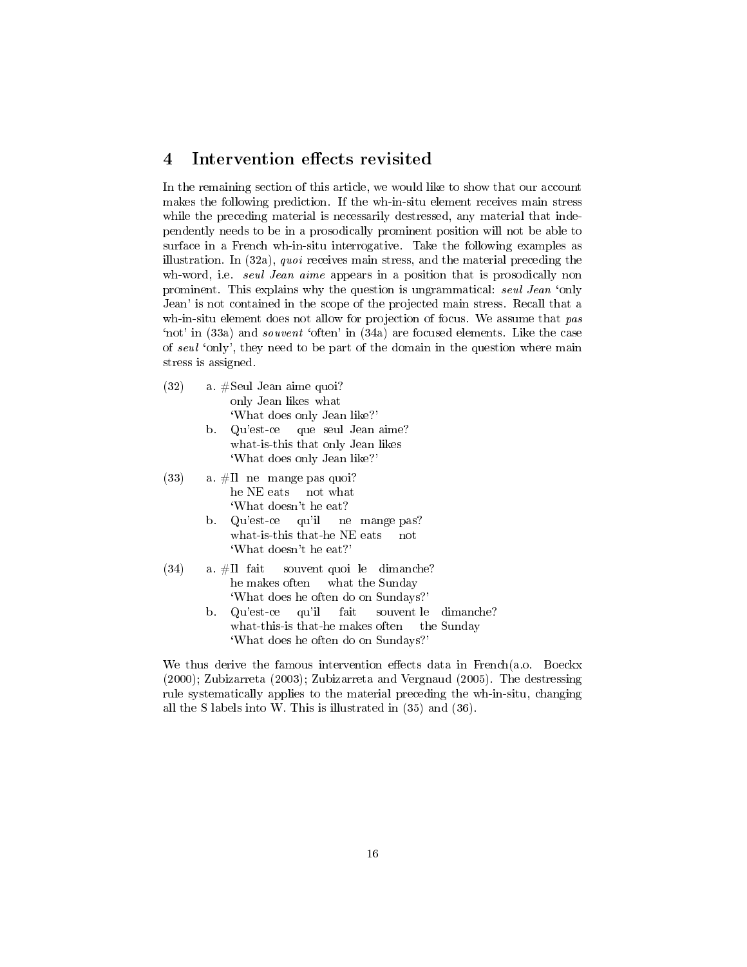## 4 Intervention effects revisited

In the remaining section of this article, we would like to show that our account makes the following prediction. If the wh-in-situ element receives main stress while the preceding material is necessarily destressed, any material that independently needs to be in a prosodically prominent position will not be able to surface in a French wh-in-situ interrogative. Take the following examples as illustration. In (32a), quoi receives main stress, and the material preceding the wh-word, i.e. *seul Jean aime* appears in a position that is prosodically non prominent. This explains why the question is ungrammatical: seul Jean 'only Jean' is not contained in the scope of the projected main stress. Recall that a wh-in-situ element does not allow for projection of focus. We assume that pas `not' in (33a) and souvent `often' in (34a) are focused elements. Like the case of seul 'only', they need to be part of the domain in the question where main stress is assigned.

- (32) a. #Seul Jean aime quoi? only Jean likes what `What does only Jean like?'
	- b. Qu'est-ce what-is-this that only Jean likes que seul Jean aime? `What does only Jean like?'
- $(33)$  a.  $\#$ Il ne mange pas quoi? he NE eats not what `What doesn't he eat?
	- b. Qu'est-ce what-is-this that-he NE eats qu'il ne mange pas? not `What doesn't he eat?'
- $(34)$  a.  $\#$ Il fait he makes often souvent quoi le dimanche? what the Sunday `What does he often do on Sundays?'
	- b. Qu'est-ce what-this-is that-he makes often qu'il fait souvent le the Sunday dimanche? `What does he often do on Sundays?'

We thus derive the famous intervention effects data in French(a.o. Boeckx (2000); Zubizarreta (2003); Zubizarreta and Vergnaud (2005). The destressing rule systematically applies to the material preceding the wh-in-situ, changing all the S labels into W. This is illustrated in (35) and (36).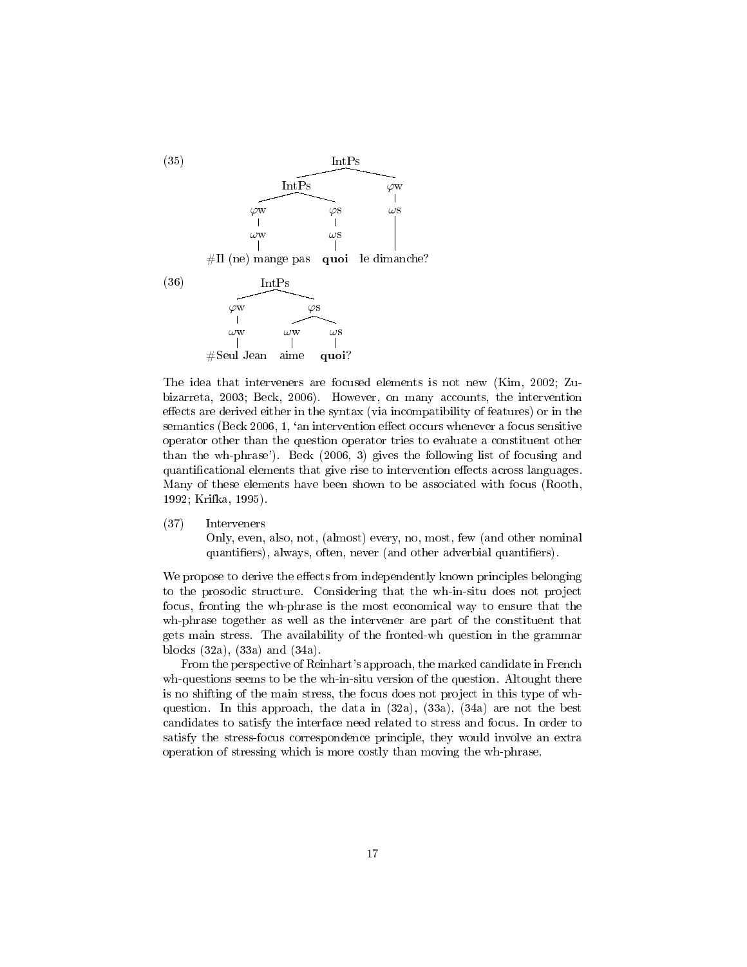

The idea that interveners are focused elements is not new (Kim, 2002; Zubizarreta, 2003; Beck, 2006). However, on many accounts, the intervention effects are derived either in the syntax (via incompatibility of features) or in the semantics (Beck 2006, 1, 'an intervention effect occurs whenever a focus sensitive operator other than the question operator tries to evaluate a constituent other than the wh-phrase'). Beck (2006, 3) gives the following list of focusing and quantificational elements that give rise to intervention effects across languages. Many of these elements have been shown to be associated with focus (Rooth, 1992; Krifka, 1995).

(37) Interveners Only, even, also, not, (almost) every, no, most, few (and other nominal quantifiers), always, often, never (and other adverbial quantifiers).

We propose to derive the effects from independently known principles belonging to the prosodic structure. Considering that the wh-in-situ does not project focus, fronting the wh-phrase is the most economical way to ensure that the wh-phrase together as well as the intervener are part of the constituent that gets main stress. The availability of the fronted-wh question in the grammar blocks (32a), (33a) and (34a).

From the perspective of Reinhart's approach, the marked candidate in French wh-questions seems to be the wh-in-situ version of the question. Altought there is no shifting of the main stress, the focus does not project in this type of whquestion. In this approach, the data in  $(32a)$ ,  $(33a)$ ,  $(34a)$  are not the best candidates to satisfy the interface need related to stress and focus. In order to satisfy the stress-focus correspondence principle, they would involve an extra operation of stressing which is more costly than moving the wh-phrase.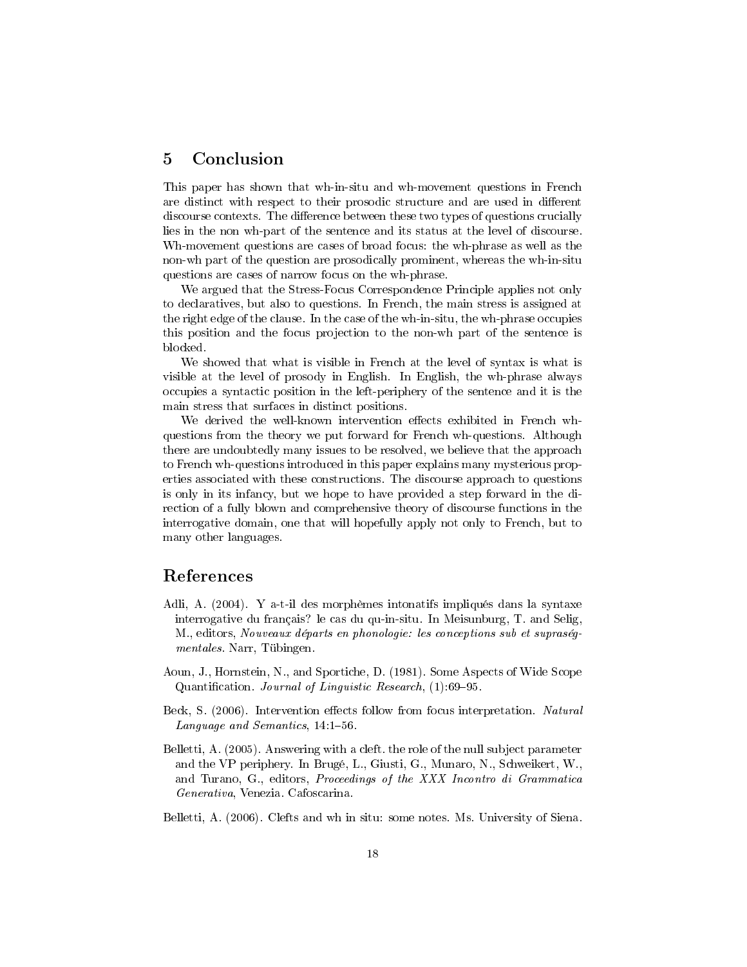## 5 Conclusion

This paper has shown that wh-in-situ and wh-movement questions in French are distinct with respect to their prosodic structure and are used in different discourse contexts. The difference between these two types of questions crucially lies in the non wh-part of the sentence and its status at the level of discourse. Wh-movement questions are cases of broad focus: the wh-phrase as well as the non-wh part of the question are prosodically prominent, whereas the wh-in-situ questions are cases of narrow focus on the wh-phrase.

We argued that the Stress-Focus Correspondence Principle applies not only to declaratives, but also to questions. In French, the main stress is assigned at the right edge of the clause. In the case of the wh-in-situ, the wh-phrase occupies this position and the focus projection to the non-wh part of the sentence is blocked.

We showed that what is visible in French at the level of syntax is what is visible at the level of prosody in English. In English, the wh-phrase always occupies a syntactic position in the left-periphery of the sentence and it is the main stress that surfaces in distinct positions.

We derived the well-known intervention effects exhibited in French whquestions from the theory we put forward for French wh-questions. Although there are undoubtedly many issues to be resolved, we believe that the approach to French wh-questions introduced in this paper explains many mysterious properties associated with these constructions. The discourse approach to questions is only in its infancy, but we hope to have provided a step forward in the direction of a fully blown and comprehensive theory of discourse functions in the interrogative domain, one that will hopefully apply not only to French, but to many other languages.

## References

- Adli, A. (2004). Y a-t-il des morphèmes intonatifs impliqués dans la syntaxe interrogative du français? le cas du qu-in-situ. In Meisunburg, T. and Selig, M., editors, Nouveaux départs en phonologie: les conceptions sub et supraségmentales. Narr, Tübingen.
- Aoun, J., Hornstein, N., and Sportiche, D. (1981). Some Aspects of Wide Scope Quantification. *Journal of Linguistic Research*,  $(1)$ :69-95.
- Beck, S. (2006). Intervention effects follow from focus interpretation. Natural Language and Semantics, 14:1-56.
- Belletti, A. (2005). Answering with a cleft. the role of the null subject parameter and the VP periphery. In Brugé, L., Giusti, G., Munaro, N., Schweikert, W., and Turano, G., editors, Proceedings of the XXX Incontro di Grammatica Generativa, Venezia. Cafoscarina.
- Belletti, A. (2006). Clefts and wh in situ: some notes. Ms. University of Siena.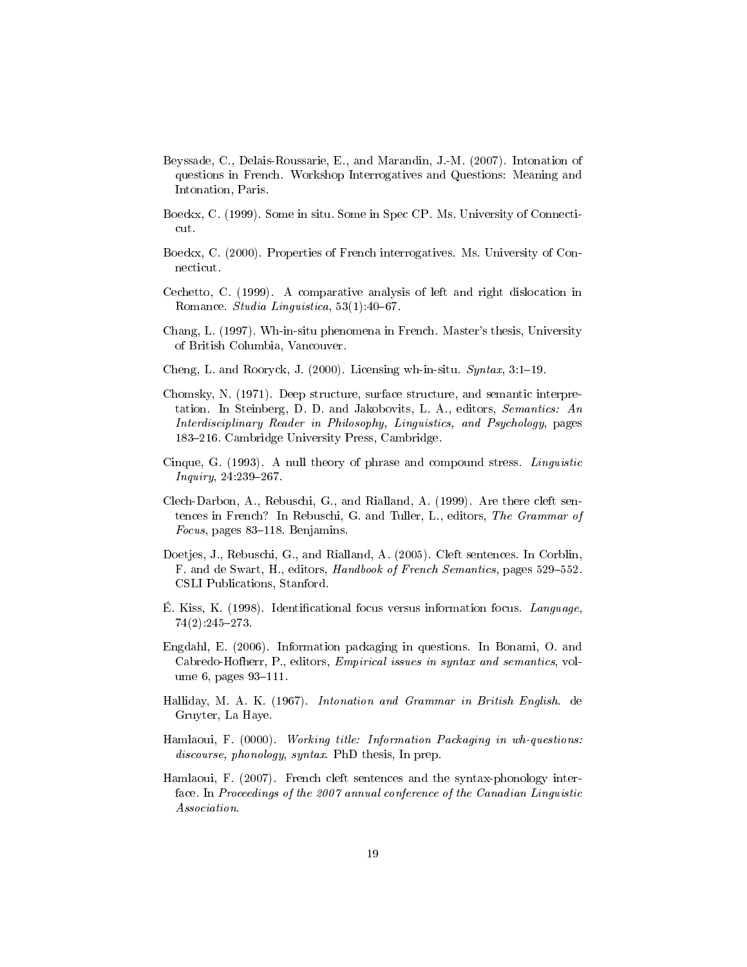- Beyssade, C., Delais-Roussarie, E., and Marandin, J.-M. (2007). Intonation of questions in French. Workshop Interrogatives and Questions: Meaning and Intonation, Paris.
- Boeckx, C. (1999). Some in situ. Some in Spec CP. Ms. University of Connecticut.
- Boeckx, C. (2000). Properties of French interrogatives. Ms. University of Connecticut.
- Cechetto, C. (1999). A comparative analysis of left and right dislocation in Romance. Studia Linguistica, 53(1):40-67.
- Chang, L. (1997). Wh-in-situ phenomena in French. Master's thesis, University of British Columbia, Vancouver.
- Cheng, L. and Rooryck, J. (2000). Licensing wh-in-situ.  $Syn tax$ , 3:1-19.
- Chomsky, N. (1971). Deep structure, surface structure, and semantic interpretation. In Steinberg, D. D. and Jakobovits, L. A., editors, Semantics: An Interdisciplinary Reader in Philosophy, Linguistics, and Psychology, pages 183–216. Cambridge University Press, Cambridge.
- Cinque, G. (1993). A null theory of phrase and compound stress. Linguistic  $Inquiry, 24.239 - 267.$
- Clech-Darbon, A., Rebuschi, G., and Rialland, A. (1999). Are there cleft sentences in French? In Rebuschi, G. and Tuller, L., editors, The Grammar of Focus, pages  $83-118$ . Benjamins.
- Doetjes, J., Rebuschi, G., and Rialland, A. (2005). Cleft sentences. In Corblin, F. and de Swart, H., editors, Handbook of French Semantics, pages 529-552. CSLI Publications, Stanford.
- E. Kiss, K. (1998). Identificational focus versus information focus. Language, 74(2):245273.
- Engdahl, E. (2006). Information packaging in questions. In Bonami, O. and Cabredo-Hofherr, P., editors, Empirical issues in syntax and semantics, volume 6, pages  $93-111$ .
- Halliday, M. A. K. (1967). Intonation and Grammar in British English. de Gruyter, La Haye.
- Hamlaoui, F. (0000). Working title: Information Packaging in wh-questions: discourse, phonology, syntax. PhD thesis, In prep.
- Hamlaoui, F. (2007). French cleft sentences and the syntax-phonology interface. In Proceedings of the 2007 annual conference of the Canadian Linguistic Association.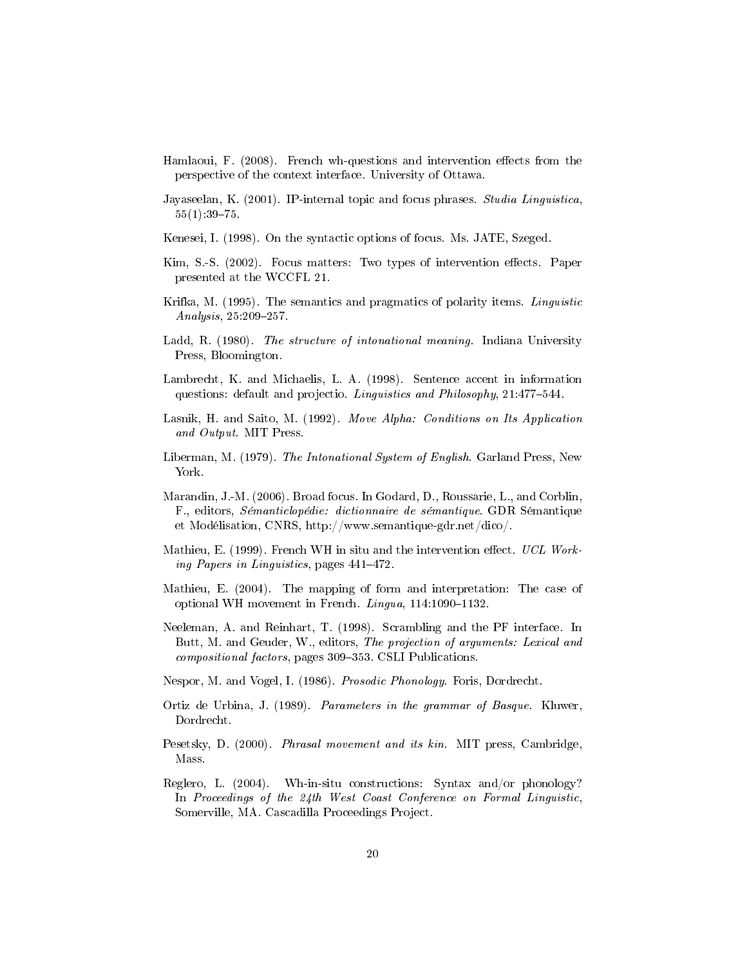- Hamlaoui, F.  $(2008)$ . French wh-questions and intervention effects from the perspective of the context interface. University of Ottawa.
- Jayaseelan, K. (2001). IP-internal topic and focus phrases. Studia Linguistica,  $55(1):39-75.$
- Kenesei, I. (1998). On the syntactic options of focus. Ms. JATE, Szeged.
- Kim, S.-S. (2002). Focus matters: Two types of intervention effects. Paper presented at the WCCFL 21.
- Krifka, M. (1995). The semantics and pragmatics of polarity items. Linguistic  $Analysis, 25.209 - 257.$
- Ladd, R. (1980). The structure of intonational meaning. Indiana University Press, Bloomington.
- Lambrecht, K. and Michaelis, L. A. (1998). Sentence accent in information questions: default and projectio. Linguistics and Philosophy, 21:477-544.
- Lasnik, H. and Saito, M. (1992). Move Alpha: Conditions on Its Application and Output. MIT Press.
- Liberman, M. (1979). The Intonational System of English. Garland Press, New York.
- Marandin, J.-M. (2006). Broad focus. In Godard, D., Roussarie, L., and Corblin, F., editors, Sémanticlopédie: dictionnaire de sémantique. GDR Sémantique et Modélisation, CNRS, http://www.semantique-gdr.net/dico/.
- Mathieu, E. (1999). French WH in situ and the intervention effect. UCL Working Papers in Linguistics, pages  $441-472$ .
- Mathieu, E. (2004). The mapping of form and interpretation: The case of optional WH movement in French.  $Lingua$ , 114:1090-1132.
- Neeleman, A. and Reinhart, T. (1998). Scrambling and the PF interface. In Butt, M. and Geuder, W., editors, The projection of arguments: Lexical and compositional factors, pages 309-353. CSLI Publications.
- Nespor, M. and Vogel, I. (1986). Prosodic Phonology. Foris, Dordrecht.
- Ortiz de Urbina, J. (1989). Parameters in the grammar of Basque. Kluwer, Dordrecht.
- Pesetsky, D. (2000). Phrasal movement and its kin. MIT press, Cambridge, Mass.
- Reglero, L. (2004). Wh-in-situ constructions: Syntax and/or phonology? In Proceedings of the 24th West Coast Conference on Formal Linguistic, Somerville, MA. Cascadilla Proceedings Project.